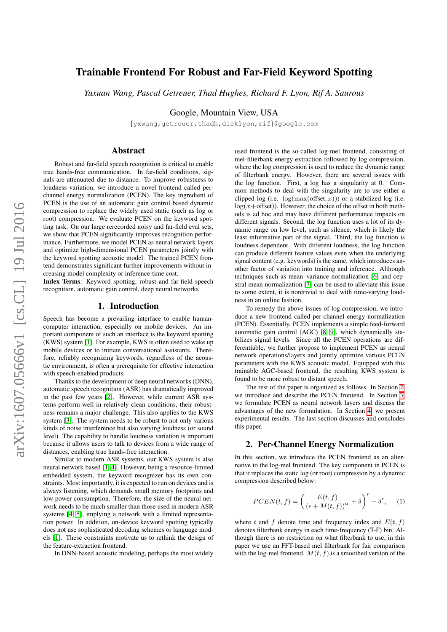# Trainable Frontend For Robust and Far-Field Keyword Spotting

*Yuxuan Wang, Pascal Getreuer, Thad Hughes, Richard F. Lyon, Rif A. Saurous*

Google, Mountain View, USA

{yxwang,getreuer,thadh,dicklyon,rif}@google.com

# Abstract

Robust and far-field speech recognition is critical to enable true hands-free communication. In far-field conditions, signals are attenuated due to distance. To improve robustness to loudness variation, we introduce a novel frontend called perchannel energy normalization (PCEN). The key ingredient of PCEN is the use of an automatic gain control based dynamic compression to replace the widely used static (such as log or root) compression. We evaluate PCEN on the keyword spotting task. On our large rerecorded noisy and far-field eval sets, we show that PCEN significantly improves recognition performance. Furthermore, we model PCEN as neural network layers and optimize high-dimensional PCEN parameters jointly with the keyword spotting acoustic model. The trained PCEN frontend demonstrates significant further improvements without increasing model complexity or inference-time cost.

Index Terms: Keyword spotting, robust and far-field speech recognition, automatic gain control, deep neural networks

# 1. Introduction

Speech has become a prevailing interface to enable humancomputer interaction, especially on mobile devices. An important component of such an interface is the keyword spotting (KWS) system [\[1\]](#page-4-0). For example, KWS is often used to wake up mobile devices or to initiate conversational assistants. Therefore, reliably recognizing keywords, regardless of the acoustic environment, is often a prerequisite for effective interaction with speech-enabled products.

Thanks to the development of deep neural networks (DNN), automatic speech recognition (ASR) has dramatically improved in the past few years [\[2\]](#page-4-1). However, while current ASR systems perform well in relatively clean conditions, their robustness remains a major challenge. This also applies to the KWS system [\[3\]](#page-4-2). The system needs to be robust to not only various kinds of noise interference but also varying loudness (or sound level). The capability to handle loudness variation is important because it allows users to talk to devices from a wide range of distances, enabling true hands-free interaction.

Similar to modern ASR systems, our KWS system is also neural network based [\[1,](#page-4-0) [4\]](#page-4-3). However, being a resource-limited embedded system, the keyword recognizer has its own constraints. Most importantly, it is expected to run on devices and is always listening, which demands small memory footprints and low power consumption. Therefore, the size of the neural network needs to be much smaller than those used in modern ASR systems [\[4,](#page-4-3) [5\]](#page-4-4), implying a network with a limited representation power. In addition, on-device keyword spotting typically does not use sophisticated decoding schemes or language models [\[1\]](#page-4-0). These constraints motivate us to rethink the design of the feature-extraction frontend.

In DNN-based acoustic modeling, perhaps the most widely

used frontend is the so-called log-mel frontend, consisting of mel-filterbank energy extraction followed by log compression, where the log compression is used to reduce the dynamic range of filterbank energy. However, there are several issues with the log function. First, a log has a singularity at 0. Common methods to deal with the singularity are to use either a clipped log (i.e.  $log(max(offset, x))$ ) or a stabilized log (i.e.  $log(x+offset)$ ). However, the choice of the offset in both methods is ad hoc and may have different performance impacts on different signals. Second, the log function uses a lot of its dynamic range on low level, such as silence, which is likely the least informative part of the signal. Third, the log function is loudness dependent. With different loudness, the log function can produce different feature values even when the underlying signal content (e.g. keywords) is the same, which introduces another factor of variation into training and inference. Although techniques such as mean–variance normalization [\[6\]](#page-4-5) and cepstral mean normalization [\[7\]](#page-4-6) can be used to alleviate this issue to some extent, it is nontrivial to deal with time-varying loudness in an online fashion.

To remedy the above issues of log compression, we introduce a new frontend called per-channel energy normalization (PCEN). Essentially, PCEN implements a simple feed-forward automatic gain control (AGC) [\[8,](#page-4-7) [9\]](#page-4-8), which dynamically stabilizes signal levels. Since all the PCEN operations are differentiable, we further propose to implement PCEN as neural network operations/layers and jointly optimize various PCEN parameters with the KWS acoustic model. Equipped with this trainable AGC-based frontend, the resulting KWS system is found to be more robust to distant speech.

The rest of the paper is organized as follows. In Section [2,](#page-0-0) we introduce and describe the PCEN frontend. In Section [3,](#page-1-0) we formulate PCEN as neural network layers and discuss the advantages of the new formulation. In Section [4,](#page-2-0) we present experimental results. The last section discusses and concludes this paper.

# <span id="page-0-0"></span>2. Per-Channel Energy Normalization

In this section, we introduce the PCEN frontend as an alternative to the log-mel frontend. The key component in PCEN is that it replaces the static log (or root) compression by a dynamic compression described below:

<span id="page-0-1"></span>
$$
PCEN(t, f) = \left(\frac{E(t, f)}{(\epsilon + M(t, f))^{\alpha}} + \delta\right)^{r} - \delta^{r}, \quad (1)
$$

where t and f denote time and frequency index and  $E(t, f)$ denotes filterbank energy in each time-frequency (T-F) bin. Although there is no restriction on what filterbank to use, in this paper we use an FFT-based mel filterbank for fair comparison with the log-mel frontend.  $M(t, f)$  is a smoothed version of the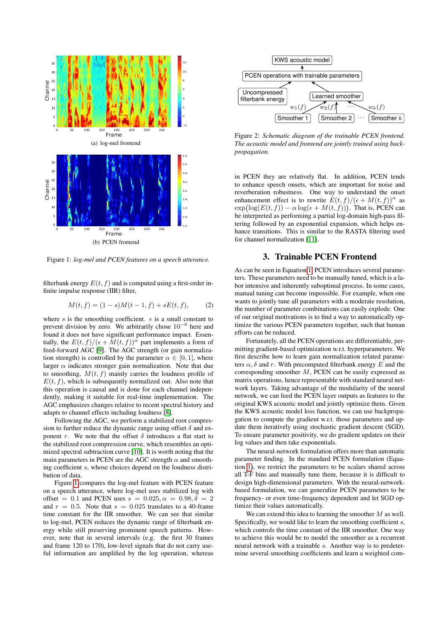

<span id="page-1-1"></span>Figure 1: *log-mel and PCEN features on a speech utterance.*

filterbank energy  $E(t, f)$  and is computed using a first-order infinite impulse response (IIR) filter,

$$
M(t, f) = (1 - s)M(t - 1, f) + sE(t, f),
$$
 (2)

where s is the smoothing coefficient.  $\epsilon$  is a small constant to prevent division by zero. We arbitrarily chose  $10^{-6}$  here and found it does not have significant performance impact. Essentially, the  $E(t, f)/(\epsilon + M(t, f))^{\alpha}$  part implements a form of feed-forward AGC [\[9\]](#page-4-8). The AGC strength (or gain normalization strength) is controlled by the parameter  $\alpha \in [0, 1]$ , where larger  $\alpha$  indicates stronger gain normalization. Note that due to smoothing,  $M(t, f)$  mainly carries the loudness profile of  $E(t, f)$ , which is subsequently normalized out. Also note that this operation is causal and is done for each channel independently, making it suitable for real-time implementation. The AGC emphasizes changes relative to recent spectral history and adapts to channel effects including loudness [\[8\]](#page-4-7).

Following the AGC, we perform a stabilized root compression to further reduce the dynamic range using offset  $\delta$  and exponent r. We note that the offset  $\delta$  introduces a flat start to the stabilized root compression curve, which resembles an optimized spectral subtraction curve [\[10\]](#page-4-9). It is worth noting that the main parameters in PCEN are the AGC strength  $\alpha$  and smoothing coefficient s, whose choices depend on the loudness distribution of data.

Figure [1](#page-1-1) compares the log-mel feature with PCEN feature on a speech utterance, where log-mel uses stabilized log with offset = 0.1 and PCEN uses  $s = 0.025, \alpha = 0.98, \delta = 2$ and  $r = 0.5$ . Note that  $s = 0.025$  translates to a 40-frame time constant for the IIR smoother. We can see that similar to log-mel, PCEN reduces the dynamic range of filterbank energy while still preserving prominent speech patterns. However, note that in several intervals (e.g. the first 30 frames and frame 120 to 170), low-level signals that do not carry useful information are amplified by the log operation, whereas



<span id="page-1-2"></span>Figure 2: *Schematic diagram of the trainable PCEN frontend. The acoustic model and frontend are jointly trained using backpropagation.*

in PCEN they are relatively flat. In addition, PCEN tends to enhance speech onsets, which are important for noise and reverberation robustness. One way to understand the onset enhancement effect is to rewrite  $E(t, f)/(\epsilon + M(t, f))^{\alpha}$  as  $\exp(\log(E(t, f)) - \alpha \log(\epsilon + M(t, f)))$ . That is, PCEN can be interpreted as performing a partial log-domain high-pass filtering followed by an exponential expansion, which helps enhance transitions. This is similar to the RASTA filtering used for channel normalization [\[11\]](#page-4-10).

## 3. Trainable PCEN Frontend

<span id="page-1-0"></span>As can be seen in Equation [1,](#page-0-1) PCEN introduces several parameters. These parameters need to be manually tuned, which is a labor intensive and inherently suboptimal process. In some cases, manual tuning can become impossible. For example, when one wants to jointly tune all parameters with a moderate resolution, the number of parameter combinations can easily explode. One of our original motivations is to find a way to automatically optimize the various PCEN parameters together, such that human efforts can be reduced.

Fortunately, all the PCEN operations are differentiable, permitting gradient-based optimization w.r.t. hyperparameters. We first describe how to learn gain normalization related parameters  $\alpha$ ,  $\delta$  and r. With precomputed filterbank energy E and the corresponding smoother M, PCEN can be easily expressed as matrix operations, hence representable with standard neural network layers. Taking advantage of the modularity of the neural network, we can feed the PCEN layer outputs as features to the original KWS acoustic model and jointly optimize them. Given the KWS acoustic model loss function, we can use backpropagation to compute the gradient w.r.t. those parameters and update them iteratively using stochastic gradient descent (SGD). To ensure parameter positivity, we do gradient updates on their log values and then take exponentials.

The neural-network formulation offers more than automatic parameter finding. In the standard PCEN formulation (Equation [1\)](#page-0-1), we restrict the parameters to be scalars shared across all T-F bins and manually tune them, because it is difficult to design high-dimensional parameters. With the neural-networkbased formulation, we can generalize PCEN parameters to be frequency- or even time-frequency dependent and let SGD optimize their values automatically.

We can extend this idea to learning the smoother  $M$  as well. Specifically, we would like to learn the smoothing coefficient s, which controls the time constant of the IIR smoother. One way to achieve this would be to model the smoother as a recurrent neural network with a trainable s. Another way is to predetermine several smoothing coefficients and learn a weighted com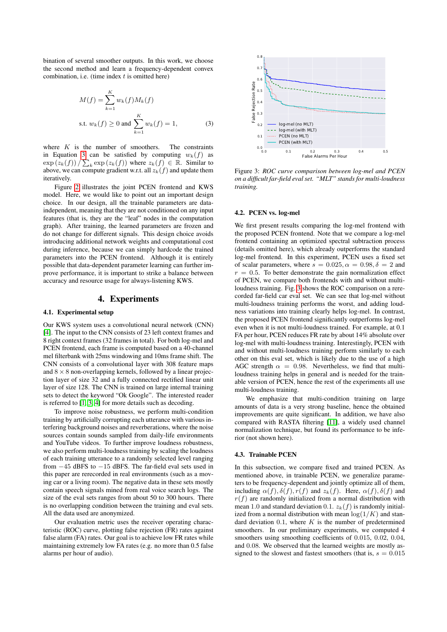bination of several smoother outputs. In this work, we choose the second method and learn a frequency-dependent convex combination, i.e. (time index  $t$  is omitted here)

$$
M(f) = \sum_{k=1}^{K} w_k(f) M_k(f)
$$
  
s.t.  $w_k(f) \ge 0$  and  $\sum_{k=1}^{K} w_k(f) = 1,$  (3)

where  $K$  is the number of smoothers. The constraints in Equation [3](#page-2-1) can be satisfied by computing  $w_k(f)$  as  $\exp(\overline{z_k(f)}) / \sum_k \exp(z_k(f))$  where  $z_k(f) \in \mathbb{R}$ . Similar to above, we can compute gradient w.r.t. all  $z_k(f)$  and update them iteratively.

Figure [2](#page-1-2) illustrates the joint PCEN frontend and KWS model. Here, we would like to point out an important design choice. In our design, all the trainable parameters are dataindependent, meaning that they are not conditioned on any input features (that is, they are the "leaf" nodes in the computation graph). After training, the learned parameters are frozen and do not change for different signals. This design choice avoids introducing additional network weights and computational cost during inference, because we can simply hardcode the trained parameters into the PCEN frontend. Although it is entirely possible that data-dependent parameter learning can further improve performance, it is important to strike a balance between accuracy and resource usage for always-listening KWS.

### 4. Experiments

#### <span id="page-2-0"></span>4.1. Experimental setup

Our KWS system uses a convolutional neural network (CNN) [\[4\]](#page-4-3). The input to the CNN consists of 23 left context frames and 8 right context frames (32 frames in total). For both log-mel and PCEN frontend, each frame is computed based on a 40-channel mel filterbank with 25ms windowing and 10ms frame shift. The CNN consists of a convolutional layer with 308 feature maps and  $8 \times 8$  non-overlapping kernels, followed by a linear projection layer of size 32 and a fully connected rectified linear unit layer of size 128. The CNN is trained on large internal training sets to detect the keyword "Ok Google". The interested reader is referred to [\[1,](#page-4-0) [3,](#page-4-2) [4\]](#page-4-3) for more details such as decoding.

To improve noise robustness, we perform multi-condition training by artificially corrupting each utterance with various interfering background noises and reverberations, where the noise sources contain sounds sampled from daily-life environments and YouTube videos. To further improve loudness robustness, we also perform multi-loudness training by scaling the loudness of each training utterance to a randomly selected level ranging from −45 dBFS to −15 dBFS. The far-field eval sets used in this paper are rerecorded in real environments (such as a moving car or a living room). The negative data in these sets mostly contain speech signals mined from real voice search logs. The size of the eval sets ranges from about 50 to 300 hours. There is no overlapping condition between the training and eval sets. All the data used are anonymized.

Our evaluation metric uses the receiver operating characteristic (ROC) curve, plotting false rejection (FR) rates against false alarm (FA) rates. Our goal is to achieve low FR rates while maintaining extremely low FA rates (e.g. no more than 0.5 false alarms per hour of audio).



<span id="page-2-2"></span><span id="page-2-1"></span>Figure 3: *ROC curve comparison between log-mel and PCEN on a difficult far-field eval set. "MLT" stands for multi-loudness training.*

#### 4.2. PCEN vs. log-mel

We first present results comparing the log-mel frontend with the proposed PCEN frontend. Note that we compare a log-mel frontend containing an optimized spectral subtraction process (details omitted here), which already outperforms the standard log-mel frontend. In this experiment, PCEN uses a fixed set of scalar parameters, where  $s = 0.025$ ,  $\alpha = 0.98$ ,  $\delta = 2$  and  $r = 0.5$ . To better demonstrate the gain normalization effect of PCEN, we compare both frontends with and without multiloudness training. Fig. [3](#page-2-2) shows the ROC comparison on a rerecorded far-field car eval set. We can see that log-mel without multi-loudness training performs the worst, and adding loudness variations into training clearly helps log-mel. In contrast, the proposed PCEN frontend significantly outperforms log-mel even when it is not multi-loudness trained. For example, at 0.1 FA per hour, PCEN reduces FR rate by about 14% absolute over log-mel with multi-loudness training. Interestingly, PCEN with and without multi-loudness training perform similarly to each other on this eval set, which is likely due to the use of a high AGC strength  $\alpha = 0.98$ . Nevertheless, we find that multiloudness training helps in general and is needed for the trainable version of PCEN, hence the rest of the experiments all use multi-loudness training.

We emphasize that multi-condition training on large amounts of data is a very strong baseline, hence the obtained improvements are quite significant. In addition, we have also compared with RASTA filtering [\[11\]](#page-4-10), a widely used channel normalization technique, but found its performance to be inferior (not shown here).

#### 4.3. Trainable PCEN

In this subsection, we compare fixed and trained PCEN. As mentioned above, in trainable PCEN, we generalize parameters to be frequency-dependent and jointly optimize all of them, including  $\alpha(f)$ ,  $\delta(f)$ ,  $r(f)$  and  $z_k(f)$ . Here,  $\alpha(f)$ ,  $\delta(f)$  and  $r(f)$  are randomly initialized from a normal distribution with mean 1.0 and standard deviation 0.1.  $z_k(f)$  is randomly initialized from a normal distribution with mean  $log(1/K)$  and standard deviation  $0.1$ , where K is the number of predetermined smoothers. In our preliminary experiments, we computed 4 smoothers using smoothing coefficients of 0.015, 0.02, 0.04, and 0.08. We observed that the learned weights are mostly assigned to the slowest and fastest smoothers (that is,  $s = 0.015$ )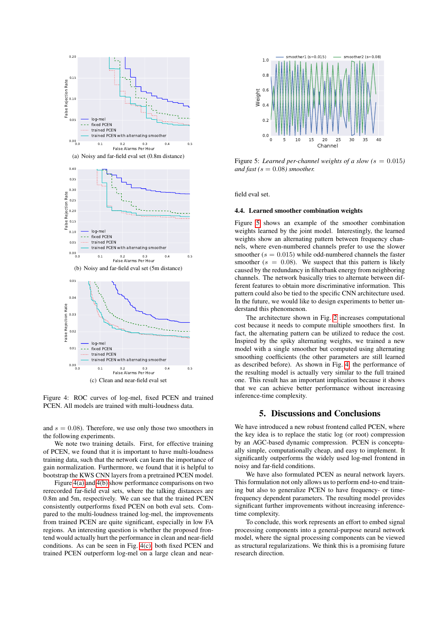<span id="page-3-0"></span>

<span id="page-3-4"></span><span id="page-3-2"></span><span id="page-3-1"></span>Figure 4: ROC curves of log-mel, fixed PCEN and trained PCEN. All models are trained with multi-loudness data.

and  $s = 0.08$ ). Therefore, we use only those two smoothers in the following experiments.

We note two training details. First, for effective training of PCEN, we found that it is important to have multi-loudness training data, such that the network can learn the importance of gain normalization. Furthermore, we found that it is helpful to bootstrap the KWS CNN layers from a pretrained PCEN model.

Figure [4\(a\)](#page-3-0) and [4\(b\)](#page-3-1) show performance comparisons on two rerecorded far-field eval sets, where the talking distances are 0.8m and 5m, respectively. We can see that the trained PCEN consistently outperforms fixed PCEN on both eval sets. Compared to the multi-loudness trained log-mel, the improvements from trained PCEN are quite significant, especially in low FA regions. An interesting question is whether the proposed frontend would actually hurt the performance in clean and near-field conditions. As can be seen in Fig. [4\(c\),](#page-3-2) both fixed PCEN and trained PCEN outperform log-mel on a large clean and near-



<span id="page-3-3"></span>Figure 5: *Learned per-channel weights of a slow (* $s = 0.015$ *) and fast* ( $s = 0.08$ ) *smoother.* 

field eval set.

#### 4.4. Learned smoother combination weights

Figure [5](#page-3-3) shows an example of the smoother combination weights learned by the joint model. Interestingly, the learned weights show an alternating pattern between frequency channels, where even-numbered channels prefer to use the slower smoother ( $s = 0.015$ ) while odd-numbered channels the faster smoother ( $s = 0.08$ ). We suspect that this pattern is likely caused by the redundancy in filterbank energy from neighboring channels. The network basically tries to alternate between different features to obtain more discriminative information. This pattern could also be tied to the specific CNN architecture used. In the future, we would like to design experiments to better understand this phenomenon.

The architecture shown in Fig. [2](#page-1-2) increases computational cost because it needs to compute multiple smoothers first. In fact, the alternating pattern can be utilized to reduce the cost. Inspired by the spiky alternating weights, we trained a new model with a single smoother but computed using alternating smoothing coefficients (the other parameters are still learned as described before). As shown in Fig. [4,](#page-3-4) the performance of the resulting model is actually very similar to the full trained one. This result has an important implication because it shows that we can achieve better performance without increasing inference-time complexity.

### 5. Discussions and Conclusions

We have introduced a new robust frontend called PCEN, where the key idea is to replace the static log (or root) compression by an AGC-based dynamic compression. PCEN is conceptually simple, computationally cheap, and easy to implement. It significantly outperforms the widely used log-mel frontend in noisy and far-field conditions.

We have also formulated PCEN as neural network layers. This formulation not only allows us to perform end-to-end training but also to generalize PCEN to have frequency- or timefrequency dependent parameters. The resulting model provides significant further improvements without increasing inferencetime complexity.

To conclude, this work represents an effort to embed signal processing components into a general-purpose neural network model, where the signal processing components can be viewed as structural regularizations. We think this is a promising future research direction.